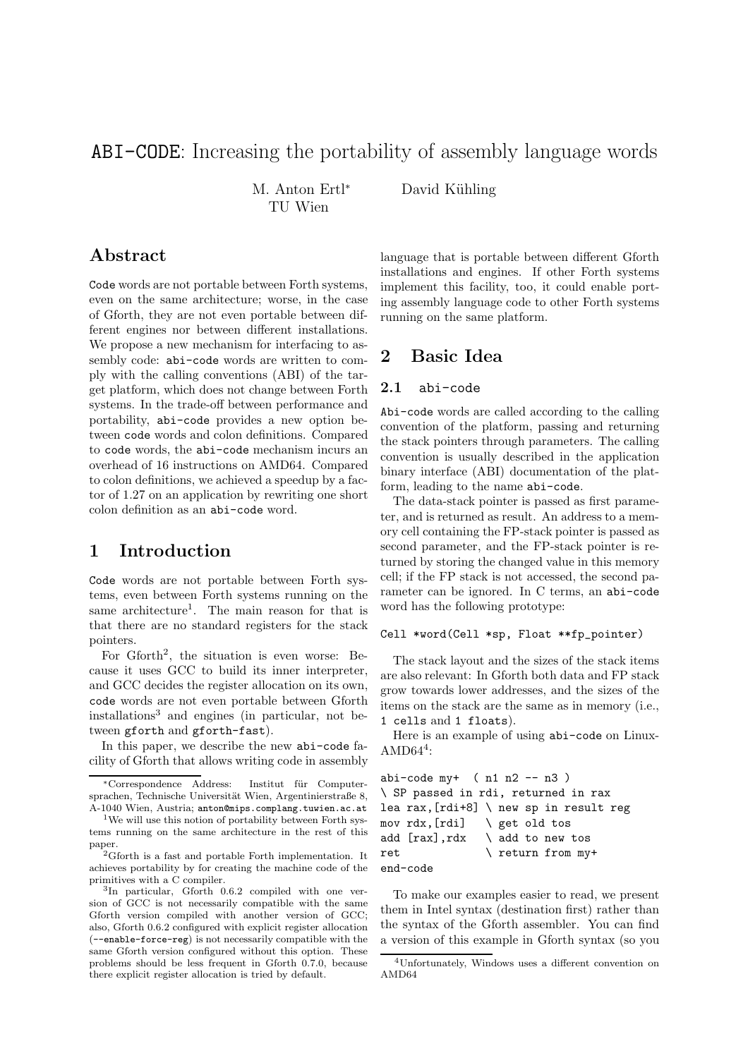# ABI-CODE: Increasing the portability of assembly language words

M. Anton Ertl<sup>∗</sup> TU Wien

David Kühling

## Abstract

Code words are not portable between Forth systems, even on the same architecture; worse, in the case of Gforth, they are not even portable between different engines nor between different installations. We propose a new mechanism for interfacing to assembly code: abi-code words are written to comply with the calling conventions (ABI) of the target platform, which does not change between Forth systems. In the trade-off between performance and portability, abi-code provides a new option between code words and colon definitions. Compared to code words, the abi-code mechanism incurs an overhead of 16 instructions on AMD64. Compared to colon definitions, we achieved a speedup by a factor of 1.27 on an application by rewriting one short colon definition as an abi-code word.

### 1 Introduction

Code words are not portable between Forth systems, even between Forth systems running on the same architecture<sup>1</sup>. The main reason for that is that there are no standard registers for the stack pointers.

For Gforth<sup>2</sup>, the situation is even worse: Because it uses GCC to build its inner interpreter, and GCC decides the register allocation on its own, code words are not even portable between Gforth installations<sup>3</sup> and engines (in particular, not between gforth and gforth-fast).

In this paper, we describe the new abi-code facility of Gforth that allows writing code in assembly

language that is portable between different Gforth installations and engines. If other Forth systems implement this facility, too, it could enable porting assembly language code to other Forth systems running on the same platform.

## 2 Basic Idea

#### 2.1 abi-code

Abi-code words are called according to the calling convention of the platform, passing and returning the stack pointers through parameters. The calling convention is usually described in the application binary interface (ABI) documentation of the platform, leading to the name abi-code.

The data-stack pointer is passed as first parameter, and is returned as result. An address to a memory cell containing the FP-stack pointer is passed as second parameter, and the FP-stack pointer is returned by storing the changed value in this memory cell; if the FP stack is not accessed, the second parameter can be ignored. In C terms, an abi-code word has the following prototype:

#### Cell \*word(Cell \*sp, Float \*\*fp\_pointer)

The stack layout and the sizes of the stack items are also relevant: In Gforth both data and FP stack grow towards lower addresses, and the sizes of the items on the stack are the same as in memory (i.e., 1 cells and 1 floats).

Here is an example of using abi-code on Linux- $\mathrm{AMD64^4}$ :

```
abi-code my+ ( n1 n2 -- n3 )
\ SP passed in rdi, returned in rax
lea rax,[rdi+8] \ new sp in result reg
mov rdx,[rdi] \ get old tos
add [\text{rax}], \text{rdx} \ add to new tos
ret \setminus return from my+
end-code
```
To make our examples easier to read, we present them in Intel syntax (destination first) rather than the syntax of the Gforth assembler. You can find a version of this example in Gforth syntax (so you

<sup>∗</sup>Correspondence Address: Institut f¨ur Computersprachen, Technische Universität Wien, Argentinierstraße 8, A-1040 Wien, Austria; anton@mips.complang.tuwien.ac.at

<sup>&</sup>lt;sup>1</sup>We will use this notion of portability between Forth systems running on the same architecture in the rest of this paper.

<sup>2</sup>Gforth is a fast and portable Forth implementation. It achieves portability by for creating the machine code of the primitives with a C compiler.

<sup>3</sup> In particular, Gforth 0.6.2 compiled with one version of GCC is not necessarily compatible with the same Gforth version compiled with another version of GCC; also, Gforth 0.6.2 configured with explicit register allocation (--enable-force-reg) is not necessarily compatible with the same Gforth version configured without this option. These problems should be less frequent in Gforth 0.7.0, because there explicit register allocation is tried by default.

<sup>4</sup>Unfortunately, Windows uses a different convention on AMD64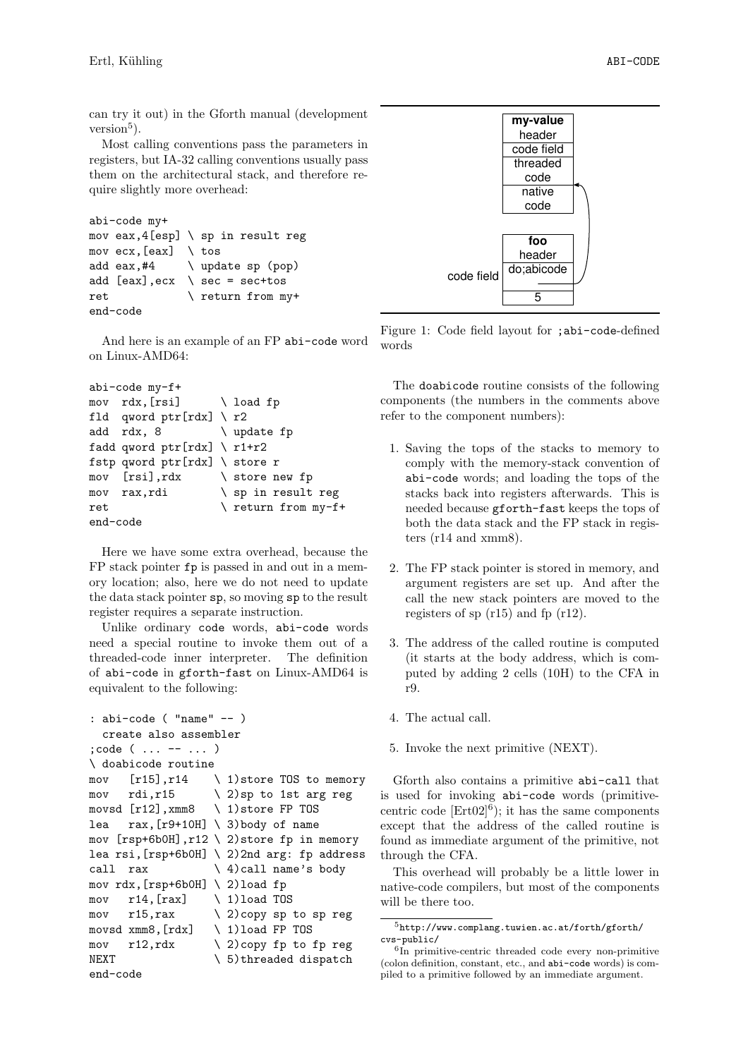can try it out) in the Gforth manual (development  $\check{\mathrm{version}}^5$ ).

Most calling conventions pass the parameters in registers, but IA-32 calling conventions usually pass them on the architectural stack, and therefore require slightly more overhead:

```
abi-code my+
mov eax, 4[esp] \setminus sp in result reg
mov ecx, [eax] \setminus \text{tos}add eax, #4 \ update sp (pop)
add [eax], ecx \setminus sec = sec + tosret \setminus return from my+
end-code
```
And here is an example of an FP abi-code word on Linux-AMD64:

```
abi-code my-f+
mov rdx, [rsi] \ load fp
fld qword ptr[rdx] \ r2
add rdx, 8 \ update fp
fadd qword ptr[rdx] \setminus r1+r2fstp qword ptr[rdx] \ store r
mov [rsi],rdx \ store new fp
mov rax, rdi \ sp in result reg
ret \setminus return from my-f+
end-code
```
Here we have some extra overhead, because the FP stack pointer fp is passed in and out in a memory location; also, here we do not need to update the data stack pointer sp, so moving sp to the result register requires a separate instruction.

Unlike ordinary code words, abi-code words need a special routine to invoke them out of a threaded-code inner interpreter. The definition of abi-code in gforth-fast on Linux-AMD64 is equivalent to the following:

```
: abi-code ( "name" -- )
  create also assembler
;code ( ... -- ... )
\ doabicode routine
mov [r15], r14 \rightarrow 1) store TOS to memory
mov rdi, r15 \qquad \qquad \setminus 2) sp to 1st arg reg
movsd [r12],xmm8 \ 1)store FP TOS
lea rax, [r9+10H] \setminus 3) body of name
mov [rsp+6b0H], r12 \setminus 2) store fp in memory
lea rsi,[rsp+6b0H] \ 2)2nd arg: fp address
call rax \setminus 4) call name's body
mov rdx,[rsp+6b0H] \ 2)load fp
mov r14, [rax] \quad \setminus 1) load TOS
mov r15,rax \ 2)copy sp to sp reg
movsd xmm8,[rdx] \ 1)load FP TOS
mov r12, rdx \qquad 2)copy fp to fp reg
NEXT \setminus 5)threaded dispatch
end-code
```


Figure 1: Code field layout for ;abi-code-defined words

The doabicode routine consists of the following components (the numbers in the comments above refer to the component numbers):

- 1. Saving the tops of the stacks to memory to comply with the memory-stack convention of abi-code words; and loading the tops of the stacks back into registers afterwards. This is needed because gforth-fast keeps the tops of both the data stack and the FP stack in registers (r14 and xmm8).
- 2. The FP stack pointer is stored in memory, and argument registers are set up. And after the call the new stack pointers are moved to the registers of sp (r15) and fp (r12).
- 3. The address of the called routine is computed (it starts at the body address, which is computed by adding 2 cells (10H) to the CFA in r9.
- 4. The actual call.
- 5. Invoke the next primitive (NEXT).

Gforth also contains a primitive abi-call that is used for invoking abi-code words (primitivecentric code  $[\text{Ert}02]^{6}$ ; it has the same components except that the address of the called routine is found as immediate argument of the primitive, not through the CFA.

This overhead will probably be a little lower in native-code compilers, but most of the components will be there too.

<sup>5</sup>http://www.complang.tuwien.ac.at/forth/gforth/ cvs-public/

<sup>&</sup>lt;sup>6</sup>In primitive-centric threaded code every non-primitive (colon definition, constant, etc., and abi-code words) is compiled to a primitive followed by an immediate argument.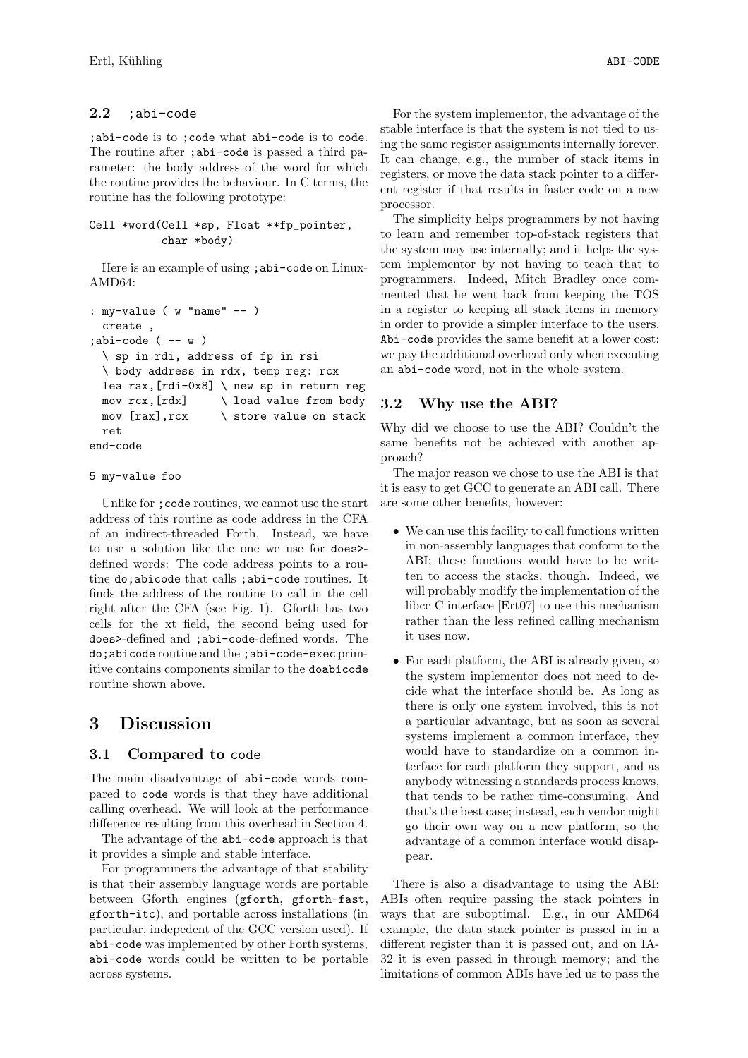### 2.2 ;abi-code

;abi-code is to ;code what abi-code is to code. The routine after ; abi-code is passed a third parameter: the body address of the word for which the routine provides the behaviour. In C terms, the routine has the following prototype:

```
Cell *word(Cell *sp, Float **fp_pointer,
           char *body)
```
Here is an example of using ; abi-code on Linux-AMD64:

```
: my-value ( w "name" -- )
  create ,
;abi-code (- - w)\ sp in rdi, address of fp in rsi
  \ body address in rdx, temp reg: rcx
  lea rax,[rdi-0x8] \ new sp in return reg
  mov rcx,[rdx] \ load value from body
 mov [\text{rax}], \text{rcx} \setminus store value on stack
  ret
end-code
```
#### 5 my-value foo

Unlike for ; code routines, we cannot use the start address of this routine as code address in the CFA of an indirect-threaded Forth. Instead, we have to use a solution like the one we use for does> defined words: The code address points to a routine do;abicode that calls ;abi-code routines. It finds the address of the routine to call in the cell right after the CFA (see Fig. 1). Gforth has two cells for the xt field, the second being used for does>-defined and ;abi-code-defined words. The do;abicode routine and the ;abi-code-exec primitive contains components similar to the doabicode routine shown above.

# 3 Discussion

### 3.1 Compared to code

The main disadvantage of abi-code words compared to code words is that they have additional calling overhead. We will look at the performance difference resulting from this overhead in Section 4.

The advantage of the abi-code approach is that it provides a simple and stable interface.

For programmers the advantage of that stability is that their assembly language words are portable between Gforth engines (gforth, gforth-fast, gforth-itc), and portable across installations (in particular, indepedent of the GCC version used). If abi-code was implemented by other Forth systems, abi-code words could be written to be portable across systems.

For the system implementor, the advantage of the stable interface is that the system is not tied to using the same register assignments internally forever. It can change, e.g., the number of stack items in registers, or move the data stack pointer to a different register if that results in faster code on a new processor.

The simplicity helps programmers by not having to learn and remember top-of-stack registers that the system may use internally; and it helps the system implementor by not having to teach that to programmers. Indeed, Mitch Bradley once commented that he went back from keeping the TOS in a register to keeping all stack items in memory in order to provide a simpler interface to the users. Abi-code provides the same benefit at a lower cost: we pay the additional overhead only when executing an abi-code word, not in the whole system.

### 3.2 Why use the ABI?

Why did we choose to use the ABI? Couldn't the same benefits not be achieved with another approach?

The major reason we chose to use the ABI is that it is easy to get GCC to generate an ABI call. There are some other benefits, however:

- We can use this facility to call functions written in non-assembly languages that conform to the ABI; these functions would have to be written to access the stacks, though. Indeed, we will probably modify the implementation of the libcc C interface [Ert07] to use this mechanism rather than the less refined calling mechanism it uses now.
- For each platform, the ABI is already given, so the system implementor does not need to decide what the interface should be. As long as there is only one system involved, this is not a particular advantage, but as soon as several systems implement a common interface, they would have to standardize on a common interface for each platform they support, and as anybody witnessing a standards process knows, that tends to be rather time-consuming. And that's the best case; instead, each vendor might go their own way on a new platform, so the advantage of a common interface would disappear.

There is also a disadvantage to using the ABI: ABIs often require passing the stack pointers in ways that are suboptimal. E.g., in our AMD64 example, the data stack pointer is passed in in a different register than it is passed out, and on IA-32 it is even passed in through memory; and the limitations of common ABIs have led us to pass the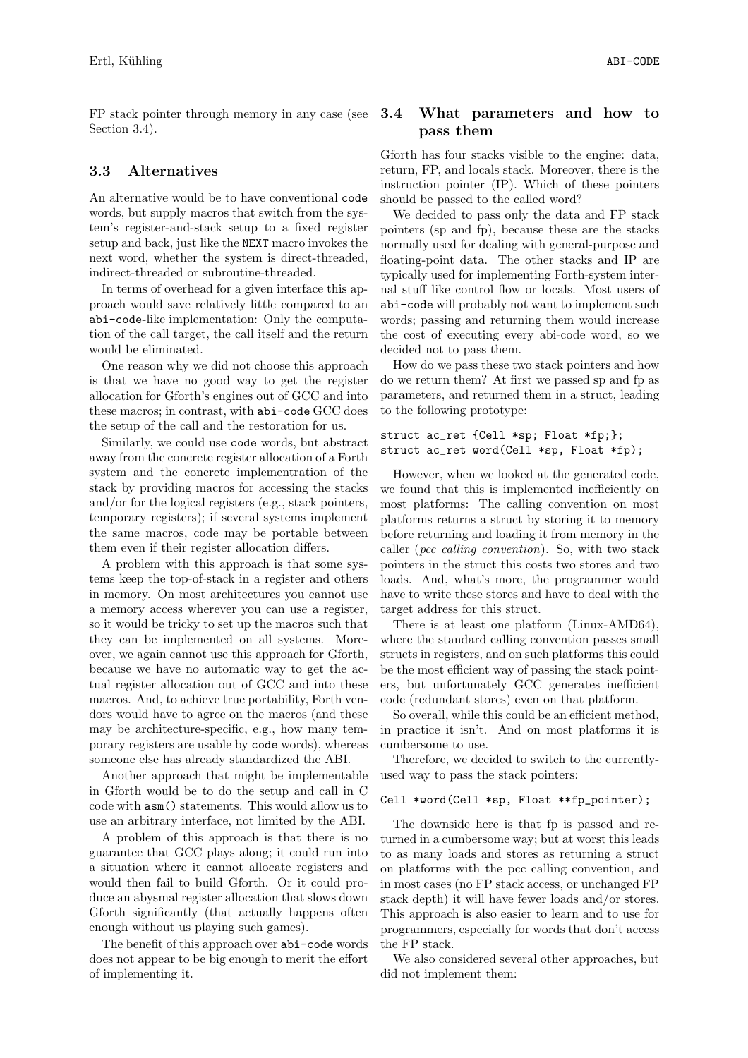FP stack pointer through memory in any case (see Section 3.4).

### 3.3 Alternatives

An alternative would be to have conventional code words, but supply macros that switch from the system's register-and-stack setup to a fixed register setup and back, just like the NEXT macro invokes the next word, whether the system is direct-threaded, indirect-threaded or subroutine-threaded.

In terms of overhead for a given interface this approach would save relatively little compared to an abi-code-like implementation: Only the computation of the call target, the call itself and the return would be eliminated.

One reason why we did not choose this approach is that we have no good way to get the register allocation for Gforth's engines out of GCC and into these macros; in contrast, with abi-code GCC does the setup of the call and the restoration for us.

Similarly, we could use code words, but abstract away from the concrete register allocation of a Forth system and the concrete implementration of the stack by providing macros for accessing the stacks and/or for the logical registers (e.g., stack pointers, temporary registers); if several systems implement the same macros, code may be portable between them even if their register allocation differs.

A problem with this approach is that some systems keep the top-of-stack in a register and others in memory. On most architectures you cannot use a memory access wherever you can use a register, so it would be tricky to set up the macros such that they can be implemented on all systems. Moreover, we again cannot use this approach for Gforth, because we have no automatic way to get the actual register allocation out of GCC and into these macros. And, to achieve true portability, Forth vendors would have to agree on the macros (and these may be architecture-specific, e.g., how many temporary registers are usable by code words), whereas someone else has already standardized the ABI.

Another approach that might be implementable in Gforth would be to do the setup and call in C code with asm() statements. This would allow us to use an arbitrary interface, not limited by the ABI.

A problem of this approach is that there is no guarantee that GCC plays along; it could run into a situation where it cannot allocate registers and would then fail to build Gforth. Or it could produce an abysmal register allocation that slows down Gforth significantly (that actually happens often enough without us playing such games).

The benefit of this approach over abi-code words does not appear to be big enough to merit the effort of implementing it.

### 3.4 What parameters and how to pass them

Gforth has four stacks visible to the engine: data, return, FP, and locals stack. Moreover, there is the instruction pointer (IP). Which of these pointers should be passed to the called word?

We decided to pass only the data and FP stack pointers (sp and fp), because these are the stacks normally used for dealing with general-purpose and floating-point data. The other stacks and IP are typically used for implementing Forth-system internal stuff like control flow or locals. Most users of abi-code will probably not want to implement such words; passing and returning them would increase the cost of executing every abi-code word, so we decided not to pass them.

How do we pass these two stack pointers and how do we return them? At first we passed sp and fp as parameters, and returned them in a struct, leading to the following prototype:

```
struct ac_ret {Cell *sp; Float *fp;};
struct ac_ret word(Cell *sp, Float *fp);
```
However, when we looked at the generated code, we found that this is implemented inefficiently on most platforms: The calling convention on most platforms returns a struct by storing it to memory before returning and loading it from memory in the caller (pcc calling convention). So, with two stack pointers in the struct this costs two stores and two loads. And, what's more, the programmer would have to write these stores and have to deal with the target address for this struct.

There is at least one platform (Linux-AMD64), where the standard calling convention passes small structs in registers, and on such platforms this could be the most efficient way of passing the stack pointers, but unfortunately GCC generates inefficient code (redundant stores) even on that platform.

So overall, while this could be an efficient method, in practice it isn't. And on most platforms it is cumbersome to use.

Therefore, we decided to switch to the currentlyused way to pass the stack pointers:

#### Cell \*word(Cell \*sp, Float \*\*fp\_pointer);

The downside here is that fp is passed and returned in a cumbersome way; but at worst this leads to as many loads and stores as returning a struct on platforms with the pcc calling convention, and in most cases (no FP stack access, or unchanged FP stack depth) it will have fewer loads and/or stores. This approach is also easier to learn and to use for programmers, especially for words that don't access the FP stack.

We also considered several other approaches, but did not implement them: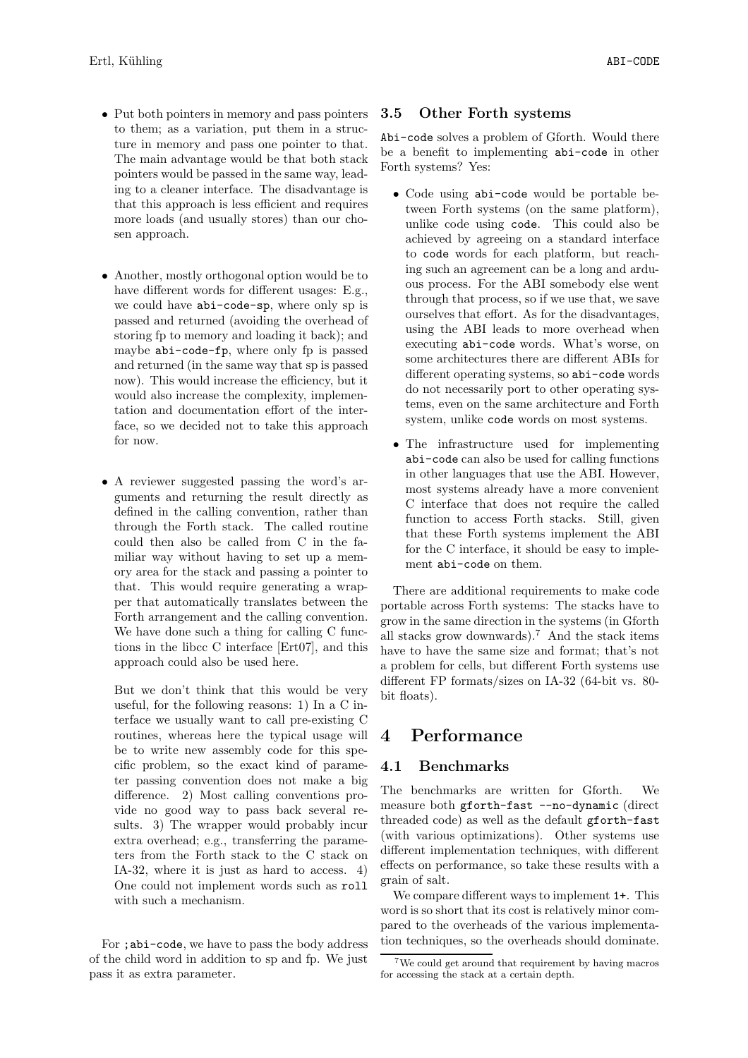- Put both pointers in memory and pass pointers to them; as a variation, put them in a structure in memory and pass one pointer to that. The main advantage would be that both stack pointers would be passed in the same way, leading to a cleaner interface. The disadvantage is that this approach is less efficient and requires more loads (and usually stores) than our chosen approach.
- Another, mostly orthogonal option would be to have different words for different usages: E.g., we could have abi-code-sp, where only sp is passed and returned (avoiding the overhead of storing fp to memory and loading it back); and maybe abi-code-fp, where only fp is passed and returned (in the same way that sp is passed now). This would increase the efficiency, but it would also increase the complexity, implementation and documentation effort of the interface, so we decided not to take this approach for now.
- A reviewer suggested passing the word's arguments and returning the result directly as defined in the calling convention, rather than through the Forth stack. The called routine could then also be called from C in the familiar way without having to set up a memory area for the stack and passing a pointer to that. This would require generating a wrapper that automatically translates between the Forth arrangement and the calling convention. We have done such a thing for calling C functions in the libcc C interface [Ert07], and this approach could also be used here.

But we don't think that this would be very useful, for the following reasons: 1) In a C interface we usually want to call pre-existing C routines, whereas here the typical usage will be to write new assembly code for this specific problem, so the exact kind of parameter passing convention does not make a big difference. 2) Most calling conventions provide no good way to pass back several results. 3) The wrapper would probably incur extra overhead; e.g., transferring the parameters from the Forth stack to the C stack on IA-32, where it is just as hard to access. 4) One could not implement words such as roll with such a mechanism.

### 3.5 Other Forth systems

Abi-code solves a problem of Gforth. Would there be a benefit to implementing abi-code in other Forth systems? Yes:

- Code using abi-code would be portable between Forth systems (on the same platform), unlike code using code. This could also be achieved by agreeing on a standard interface to code words for each platform, but reaching such an agreement can be a long and arduous process. For the ABI somebody else went through that process, so if we use that, we save ourselves that effort. As for the disadvantages, using the ABI leads to more overhead when executing abi-code words. What's worse, on some architectures there are different ABIs for different operating systems, so abi-code words do not necessarily port to other operating systems, even on the same architecture and Forth system, unlike code words on most systems.
- The infrastructure used for implementing abi-code can also be used for calling functions in other languages that use the ABI. However, most systems already have a more convenient C interface that does not require the called function to access Forth stacks. Still, given that these Forth systems implement the ABI for the C interface, it should be easy to implement abi-code on them.

There are additional requirements to make code portable across Forth systems: The stacks have to grow in the same direction in the systems (in Gforth all stacks grow downwards).<sup>7</sup> And the stack items have to have the same size and format; that's not a problem for cells, but different Forth systems use different FP formats/sizes on IA-32 (64-bit vs. 80 bit floats).

## 4 Performance

### 4.1 Benchmarks

The benchmarks are written for Gforth. We measure both gforth-fast --no-dynamic (direct threaded code) as well as the default gforth-fast (with various optimizations). Other systems use different implementation techniques, with different effects on performance, so take these results with a grain of salt.

We compare different ways to implement  $1+$ . This word is so short that its cost is relatively minor compared to the overheads of the various implementation techniques, so the overheads should dominate.

For ;abi-code, we have to pass the body address of the child word in addition to sp and fp. We just pass it as extra parameter.

<sup>7</sup>We could get around that requirement by having macros for accessing the stack at a certain depth.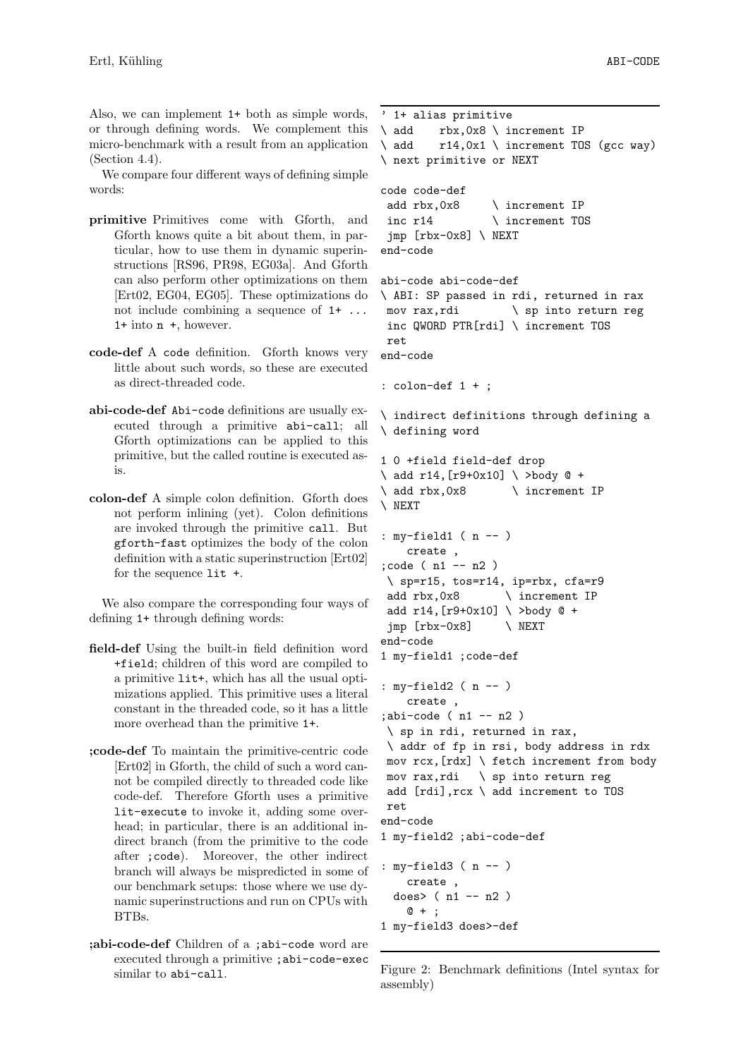Also, we can implement 1+ both as simple words, or through defining words. We complement this micro-benchmark with a result from an application (Section 4.4).

We compare four different ways of defining simple words:

- primitive Primitives come with Gforth, and Gforth knows quite a bit about them, in particular, how to use them in dynamic superinstructions [RS96, PR98, EG03a]. And Gforth can also perform other optimizations on them [Ert02, EG04, EG05]. These optimizations do not include combining a sequence of 1+ ... 1+ into n +, however.
- code-def A code definition. Gforth knows very little about such words, so these are executed as direct-threaded code.
- abi-code-def Abi-code definitions are usually executed through a primitive abi-call; all Gforth optimizations can be applied to this primitive, but the called routine is executed asis.
- colon-def A simple colon definition. Gforth does not perform inlining (yet). Colon definitions are invoked through the primitive call. But gforth-fast optimizes the body of the colon definition with a static superinstruction [Ert02] for the sequence lit +.

We also compare the corresponding four ways of defining 1+ through defining words:

- field-def Using the built-in field definition word +field; children of this word are compiled to a primitive lit+, which has all the usual optimizations applied. This primitive uses a literal constant in the threaded code, so it has a little more overhead than the primitive 1+.
- ;code-def To maintain the primitive-centric code [Ert02] in Gforth, the child of such a word cannot be compiled directly to threaded code like code-def. Therefore Gforth uses a primitive lit-execute to invoke it, adding some overhead; in particular, there is an additional indirect branch (from the primitive to the code after ;code). Moreover, the other indirect branch will always be mispredicted in some of our benchmark setups: those where we use dynamic superinstructions and run on CPUs with BTBs.
- ;abi-code-def Children of a ;abi-code word are executed through a primitive ;abi-code-exec similar to abi-call.

```
' 1+ alias primitive
\ add rbx,0x8 \ increment IP
\langle add r14,0x1 \langle increment TOS (gcc way)
\ next primitive or NEXT
code code-def
 add rbx,0x8 \ increment IP
 inc r14 \ increment TOS
 jmp [rbx-0x8] \ NEXT
end-code
abi-code abi-code-def
\ ABI: SP passed in rdi, returned in rax
 mov rax,rdi \ sp into return reg
 inc QWORD PTR[rdi] \ increment TOS
 ret
end-code
: colon-def 1 + ;
\ indirect definitions through defining a
\ defining word
1 0 +field field-def drop
\langle add r14, [r9+0x10] \langle >body @ +
\ add rbx,0x8 \ increment IP
\ NEXT
: my-field1 ( n -- )
    create ,
;code ( n1 -- n2 )
 \ sp=r15, tos=r14, ip=rbx, cfa=r9
 add rbx,0x8 \ increment IP
 add r14,[r9+0x10] \ >body @ +
 jmp [rbx-0x8] \qquad \qquad \setminus NEXT
end-code
1 my-field1 ;code-def
: my-field2 ( n -- )
    create ,
;abi-code (n1 -- n2)
 \ sp in rdi, returned in rax,
 \ addr of fp in rsi, body address in rdx
 mov rcx,[rdx] \ fetch increment from body
 mov rax,rdi \ sp into return reg
 add [rdi],rcx \ add increment to TOS
 ret
end-code
1 my-field2 ;abi-code-def
: my-field3 ( n -- )
    create ,
  does> (n1 - n2)@ + ;
1 my-field3 does>-def
```
Figure 2: Benchmark definitions (Intel syntax for assembly)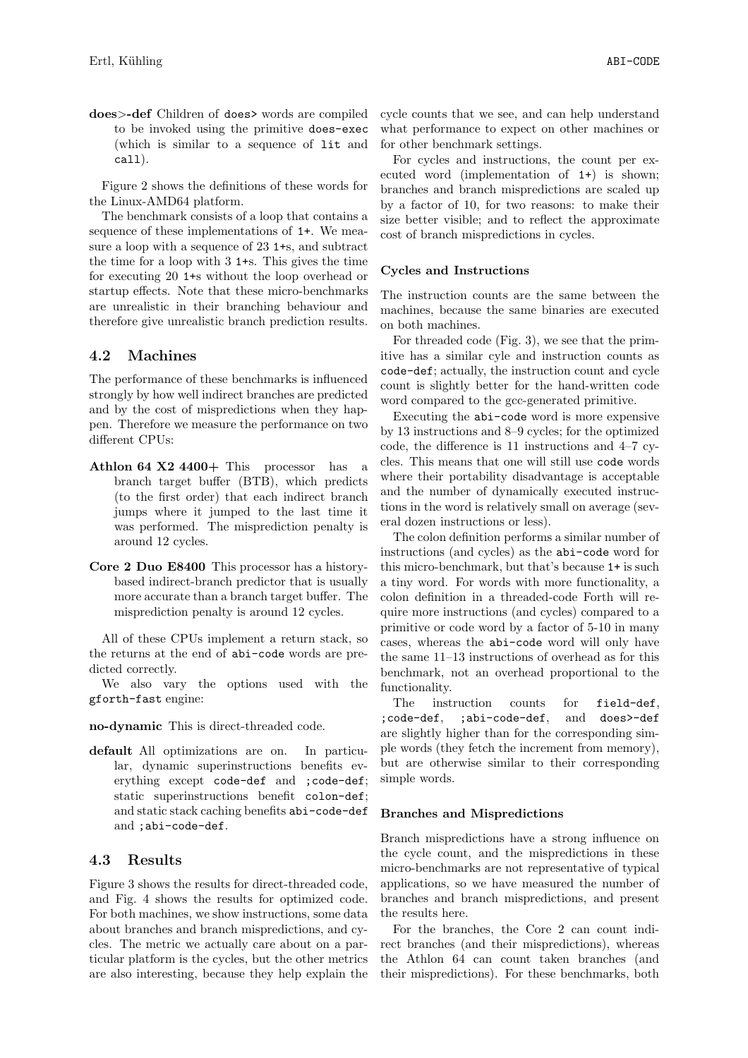does>-def Children of does> words are compiled to be invoked using the primitive does-exec (which is similar to a sequence of lit and call).

Figure 2 shows the definitions of these words for the Linux-AMD64 platform.

The benchmark consists of a loop that contains a sequence of these implementations of 1+. We measure a loop with a sequence of 23 1+s, and subtract the time for a loop with 3 1+s. This gives the time for executing 20 1+s without the loop overhead or startup effects. Note that these micro-benchmarks are unrealistic in their branching behaviour and therefore give unrealistic branch prediction results.

#### 4.2 Machines

The performance of these benchmarks is influenced strongly by how well indirect branches are predicted and by the cost of mispredictions when they happen. Therefore we measure the performance on two different CPUs:

- Athlon 64  $X2$  4400+ This processor has a branch target buffer (BTB), which predicts (to the first order) that each indirect branch jumps where it jumped to the last time it was performed. The misprediction penalty is around 12 cycles.
- Core 2 Duo E8400 This processor has a historybased indirect-branch predictor that is usually more accurate than a branch target buffer. The misprediction penalty is around 12 cycles.

All of these CPUs implement a return stack, so the returns at the end of abi-code words are predicted correctly.

We also vary the options used with the gforth-fast engine:

no-dynamic This is direct-threaded code.

default All optimizations are on. In particular, dynamic superinstructions benefits everything except code-def and ;code-def; static superinstructions benefit colon-def; and static stack caching benefits abi-code-def and ;abi-code-def.

#### 4.3 Results

Figure 3 shows the results for direct-threaded code, and Fig. 4 shows the results for optimized code. For both machines, we show instructions, some data about branches and branch mispredictions, and cycles. The metric we actually care about on a particular platform is the cycles, but the other metrics are also interesting, because they help explain the cycle counts that we see, and can help understand what performance to expect on other machines or for other benchmark settings.

For cycles and instructions, the count per executed word (implementation of 1+) is shown; branches and branch mispredictions are scaled up by a factor of 10, for two reasons: to make their size better visible; and to reflect the approximate cost of branch mispredictions in cycles.

#### Cycles and Instructions

The instruction counts are the same between the machines, because the same binaries are executed on both machines.

For threaded code (Fig. 3), we see that the primitive has a similar cyle and instruction counts as code-def; actually, the instruction count and cycle count is slightly better for the hand-written code word compared to the gcc-generated primitive.

Executing the abi-code word is more expensive by 13 instructions and 8–9 cycles; for the optimized code, the difference is 11 instructions and 4–7 cycles. This means that one will still use code words where their portability disadvantage is acceptable and the number of dynamically executed instructions in the word is relatively small on average (several dozen instructions or less).

The colon definition performs a similar number of instructions (and cycles) as the abi-code word for this micro-benchmark, but that's because 1+ is such a tiny word. For words with more functionality, a colon definition in a threaded-code Forth will require more instructions (and cycles) compared to a primitive or code word by a factor of 5-10 in many cases, whereas the abi-code word will only have the same 11–13 instructions of overhead as for this benchmark, not an overhead proportional to the functionality.

The instruction counts for field-def, ;code-def, ;abi-code-def, and does>-def are slightly higher than for the corresponding simple words (they fetch the increment from memory), but are otherwise similar to their corresponding simple words.

#### Branches and Mispredictions

Branch mispredictions have a strong influence on the cycle count, and the mispredictions in these micro-benchmarks are not representative of typical applications, so we have measured the number of branches and branch mispredictions, and present the results here.

For the branches, the Core 2 can count indirect branches (and their mispredictions), whereas the Athlon 64 can count taken branches (and their mispredictions). For these benchmarks, both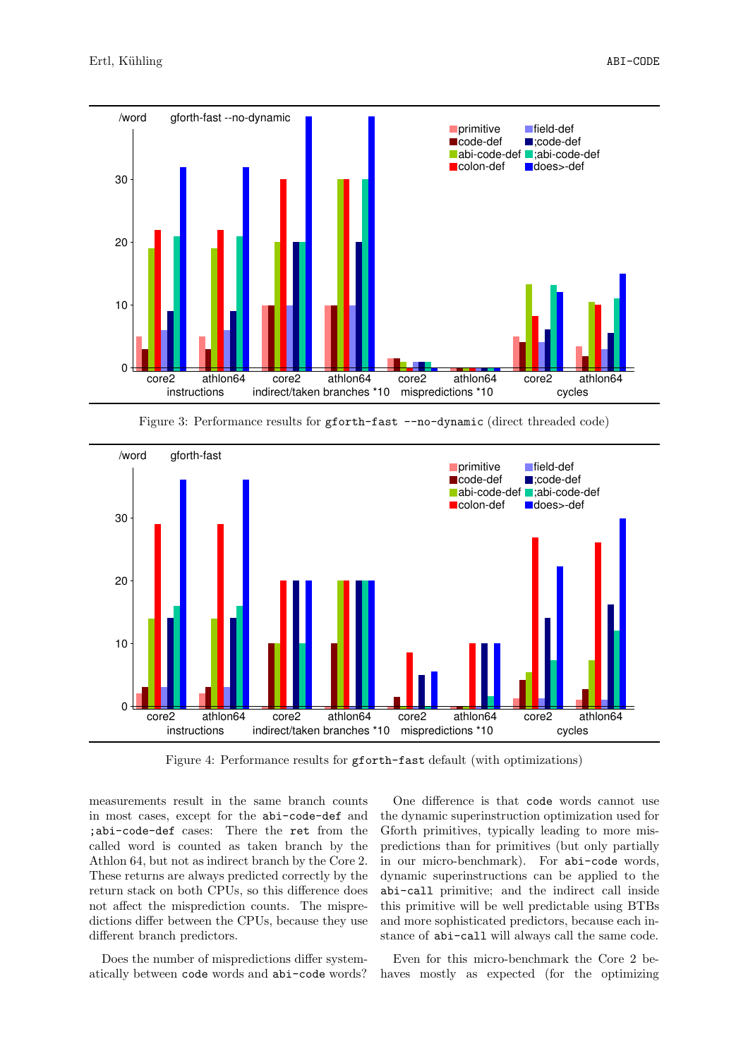

Figure 3: Performance results for gforth-fast --no-dynamic (direct threaded code)



Figure 4: Performance results for gforth-fast default (with optimizations)

measurements result in the same branch counts in most cases, except for the abi-code-def and ;abi-code-def cases: There the ret from the called word is counted as taken branch by the Athlon 64, but not as indirect branch by the Core 2. These returns are always predicted correctly by the return stack on both CPUs, so this difference does not affect the misprediction counts. The mispredictions differ between the CPUs, because they use different branch predictors.

Does the number of mispredictions differ systematically between code words and abi-code words?

One difference is that code words cannot use the dynamic superinstruction optimization used for Gforth primitives, typically leading to more mispredictions than for primitives (but only partially in our micro-benchmark). For abi-code words, dynamic superinstructions can be applied to the abi-call primitive; and the indirect call inside this primitive will be well predictable using BTBs and more sophisticated predictors, because each instance of abi-call will always call the same code.

Even for this micro-benchmark the Core 2 behaves mostly as expected (for the optimizing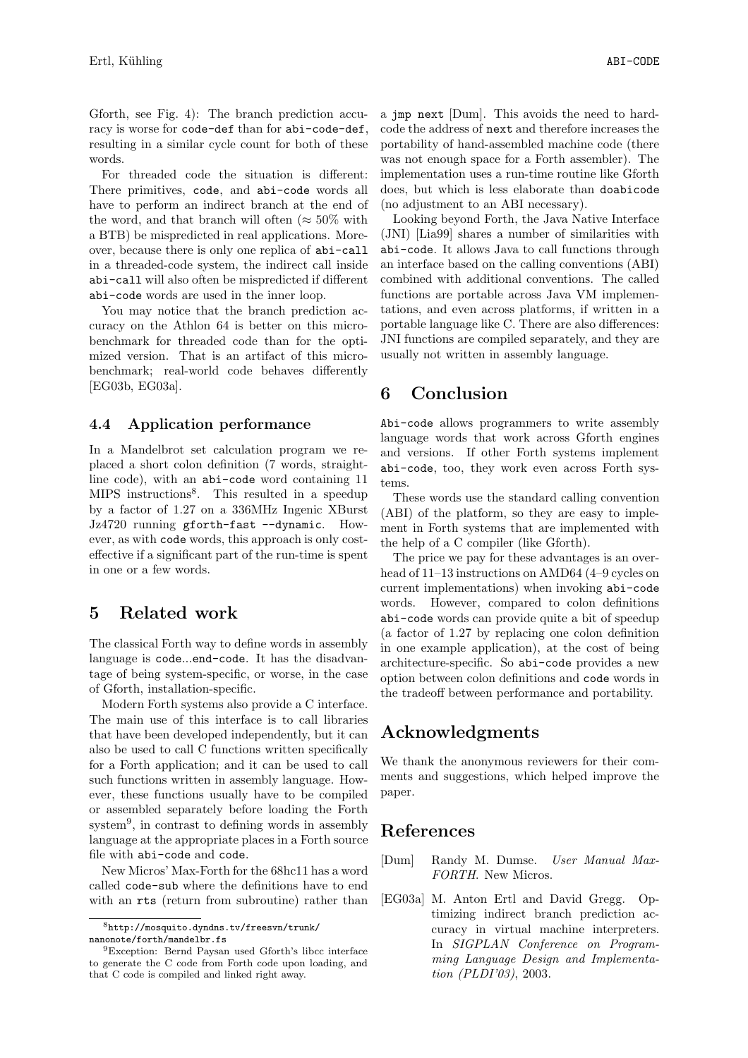Gforth, see Fig. 4): The branch prediction accuracy is worse for code-def than for abi-code-def, resulting in a similar cycle count for both of these words.

For threaded code the situation is different: There primitives, code, and abi-code words all have to perform an indirect branch at the end of the word, and that branch will often ( $\approx 50\%$  with a BTB) be mispredicted in real applications. Moreover, because there is only one replica of abi-call in a threaded-code system, the indirect call inside abi-call will also often be mispredicted if different abi-code words are used in the inner loop.

You may notice that the branch prediction accuracy on the Athlon 64 is better on this microbenchmark for threaded code than for the optimized version. That is an artifact of this microbenchmark; real-world code behaves differently [EG03b, EG03a].

#### 4.4 Application performance

In a Mandelbrot set calculation program we replaced a short colon definition (7 words, straightline code), with an abi-code word containing 11 MIPS instructions<sup>8</sup>. This resulted in a speedup by a factor of 1.27 on a 336MHz Ingenic XBurst Jz4720 running gforth-fast --dynamic. However, as with code words, this approach is only costeffective if a significant part of the run-time is spent in one or a few words.

## 5 Related work

The classical Forth way to define words in assembly language is code...end-code. It has the disadvantage of being system-specific, or worse, in the case of Gforth, installation-specific.

Modern Forth systems also provide a C interface. The main use of this interface is to call libraries that have been developed independently, but it can also be used to call C functions written specifically for a Forth application; and it can be used to call such functions written in assembly language. However, these functions usually have to be compiled or assembled separately before loading the Forth system<sup>9</sup> , in contrast to defining words in assembly language at the appropriate places in a Forth source file with abi-code and code.

New Micros' Max-Forth for the 68hc11 has a word called code-sub where the definitions have to end with an rts (return from subroutine) rather than a jmp next [Dum]. This avoids the need to hardcode the address of next and therefore increases the portability of hand-assembled machine code (there was not enough space for a Forth assembler). The implementation uses a run-time routine like Gforth does, but which is less elaborate than doabicode (no adjustment to an ABI necessary).

Looking beyond Forth, the Java Native Interface (JNI) [Lia99] shares a number of similarities with abi-code. It allows Java to call functions through an interface based on the calling conventions (ABI) combined with additional conventions. The called functions are portable across Java VM implementations, and even across platforms, if written in a portable language like C. There are also differences: JNI functions are compiled separately, and they are usually not written in assembly language.

# 6 Conclusion

Abi-code allows programmers to write assembly language words that work across Gforth engines and versions. If other Forth systems implement abi-code, too, they work even across Forth systems.

These words use the standard calling convention (ABI) of the platform, so they are easy to implement in Forth systems that are implemented with the help of a C compiler (like Gforth).

The price we pay for these advantages is an overhead of 11–13 instructions on AMD64 (4–9 cycles on current implementations) when invoking abi-code words. However, compared to colon definitions abi-code words can provide quite a bit of speedup (a factor of 1.27 by replacing one colon definition in one example application), at the cost of being architecture-specific. So abi-code provides a new option between colon definitions and code words in the tradeoff between performance and portability.

# Acknowledgments

We thank the anonymous reviewers for their comments and suggestions, which helped improve the paper.

## References

- [Dum] Randy M. Dumse. User Manual Max-FORTH. New Micros.
- [EG03a] M. Anton Ertl and David Gregg. Optimizing indirect branch prediction accuracy in virtual machine interpreters. In SIGPLAN Conference on Programming Language Design and Implementation (PLDI'03), 2003.

<sup>8</sup>http://mosquito.dyndns.tv/freesvn/trunk/ nanonote/forth/mandelbr.fs

<sup>9</sup>Exception: Bernd Paysan used Gforth's libcc interface to generate the C code from Forth code upon loading, and that C code is compiled and linked right away.